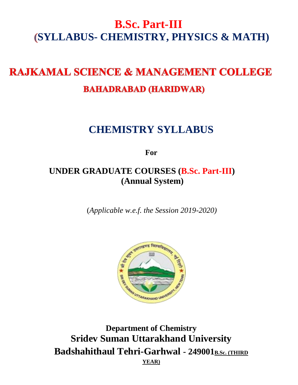# **B.Sc. Part-III SYLLABUS- CHEMISTRY, PHYSICS & MATH)**

# **RAJKAMAL SCIENCE & MANAGEMENT COLLEGE BAHADRABAD (HARIDWAR)**

# **CHEMISTRY SYLLABUS**

**For**

# **UNDER GRADUATE COURSES (B.Sc. Part-III) (Annual System)**

(*Applicable w.e.f. the Session 2019-2020)*



**Department of Chemistry Sridev Suman Uttarakhand University Badshahithaul Tehri-Garhwal - 249001B.Sc. (THIRD YEAR)**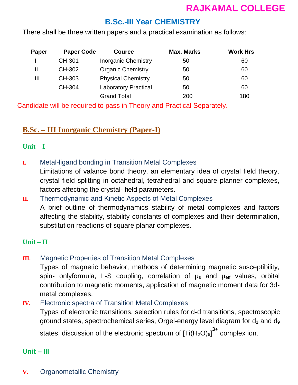# **B.Sc.-III Year CHEMISTRY**

There shall be three written papers and a practical examination as follows:

| Paper | <b>Paper Code</b> | <b>Cource</b>               | <b>Max. Marks</b> | <b>Work Hrs</b> |
|-------|-------------------|-----------------------------|-------------------|-----------------|
|       | CH-301            | <b>Inorganic Chemistry</b>  | 50                | 60              |
| Ш     | CH-302            | <b>Organic Chemistry</b>    | 50                | 60              |
| Ш     | CH-303            | <b>Physical Chemistry</b>   | 50                | 60              |
|       | CH-304            | <b>Laboratory Practical</b> | 50                | 60              |
|       |                   | <b>Grand Total</b>          | 200               | 180             |

Candidate will be required to pass in Theory and Practical Separately.

# **B.Sc. – III Inorganic Chemistry (Paper-I)**

#### **Unit – I**

**I.** Metal-ligand bonding in Transition Metal Complexes

Limitations of valance bond theory, an elementary idea of crystal field theory, crystal field splitting in octahedral, tetrahedral and square planner complexes, factors affecting the crystal- field parameters.

# **II.** Thermodynamic and Kinetic Aspects of Metal Complexes A brief outline of thermodynamics stability of metal complexes and factors affecting the stability, stability constants of complexes and their determination, substitution reactions of square planar complexes.

## **Unit – II**

## **III.** Magnetic Properties of Transition Metal Complexes

Types of magnetic behavior, methods of determining magnetic susceptibility, spin- onlyformula, L-S coupling, correlation of  $\mu_s$  and  $\mu_{\text{eff}}$  values, orbital contribution to magnetic moments, application of magnetic moment data for 3dmetal complexes.

**IV.** Electronic spectra of Transition Metal Complexes

Types of electronic transitions, selection rules for d-d transitions, spectroscopic ground states, spectrochemical series, Orgel-energy level diagram for  $d_1$  and  $d_9$ states, discussion of the electronic spectrum of  $[Ti(H_2O)_6]^{\mathbf{3+}}$  complex ion.

# **Unit – III**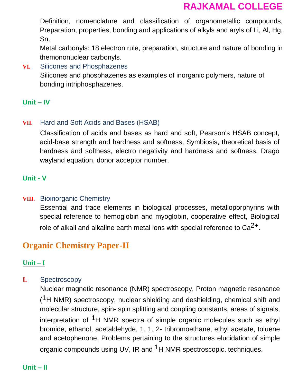Definition, nomenclature and classification of organometallic compounds, Preparation, properties, bonding and applications of alkyls and aryls of Li, Al, Hg, Sn.

Metal carbonyls: 18 electron rule, preparation, structure and nature of bonding in themononuclear carbonyls.

**VI.** Silicones and Phosphazenes Silicones and phosphazenes as examples of inorganic polymers, nature of bonding intriphosphazenes.

### **Unit – IV**

#### **VII.** Hard and Soft Acids and Bases (HSAB)

Classification of acids and bases as hard and soft, Pearson's HSAB concept, acid-base strength and hardness and softness, Symbiosis, theoretical basis of hardness and softness, electro negativity and hardness and softness, Drago wayland equation, donor acceptor number.

#### **Unit - V**

#### **VIII.** Bioinorganic Chemistry

Essential and trace elements in biological processes, metalloporphyrins with special reference to hemoglobin and myoglobin, cooperative effect, Biological role of alkali and alkaline earth metal ions with special reference to  $Ca<sup>2+</sup>$ .

# **Organic Chemistry Paper-II**

#### **Unit – I**

#### **I.** Spectroscopy

Nuclear magnetic resonance (NMR) spectroscopy, Proton magnetic resonance  $(1H)$  NMR) spectroscopy, nuclear shielding and deshielding, chemical shift and molecular structure, spin- spin splitting and coupling constants, areas of signals, interpretation of <sup>1</sup>H NMR spectra of simple organic molecules such as ethyl bromide, ethanol, acetaldehyde, 1, 1, 2- tribromoethane, ethyl acetate, toluene and acetophenone, Problems pertaining to the structures elucidation of simple organic compounds using UV, IR and <sup>1</sup>H NMR spectroscopic, techniques.

#### **Unit – II**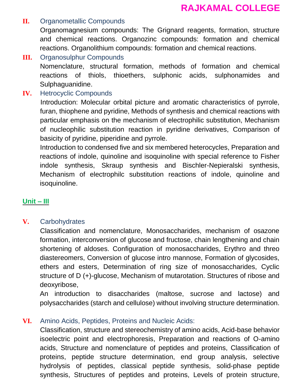### **II.** Organometallic Compounds

Organomagnesium compounds: The Grignard reagents, formation, structure and chemical reactions. Organozinc compounds: formation and chemical reactions. Organolithium compounds: formation and chemical reactions.

**III.** Organosulphur Compounds

Nomenclature, structural formation, methods of formation and chemical reactions of thiols, thioethers, sulphonic acids, sulphonamides and Sulphaguanidine.

**IV.** Hetrocyclic Compounds

Introduction: Molecular orbital picture and aromatic characteristics of pyrrole, furan, thiophene and pyridine, Methods of synthesis and chemical reactions with particular emphasis on the mechanism of electrophilic substitution, Mechanism of nucleophilic substitution reaction in pyridine derivatives, Comparison of basicity of pyridine, piperidine and pyrrole.

Introduction to condensed five and six membered heterocycles, Preparation and reactions of indole, quinoline and isoquinoline with special reference to Fisher indole synthesis, Skraup synthesis and Bischler-Nepieralski synthesis, Mechanism of electrophilc substitution reactions of indole, quinoline and isoquinoline.

## **Unit – III**

#### **V.** Carbohydrates

Classification and nomenclature, Monosaccharides, mechanism of osazone formation, interconversion of glucose and fructose, chain lengthening and chain shortening of aldoses. Configuration of monosaccharides, Erythro and threo diastereomers, Conversion of glucose intro mannose, Formation of glycosides, ethers and esters, Determination of ring size of monosaccharides, Cyclic structure of D (+)-glucose, Mechanism of mutarotation. Structures of ribose and deoxyribose,

An introduction to disaccharides (maltose, sucrose and lactose) and polysaccharides (starch and cellulose) without involving structure determination.

#### **VI.** Amino Acids, Peptides, Proteins and Nucleic Acids:

Classification, structure and stereochemistry of amino acids, Acid-base behavior isoelectric point and electrophoresis, Preparation and reactions of O-amino acids, Structure and nomenclature of peptides and proteins, Classification of proteins, peptide structure determination, end group analysis, selective hydrolysis of peptides, classical peptide synthesis, solid-phase peptide synthesis, Structures of peptides and proteins, Levels of protein structure,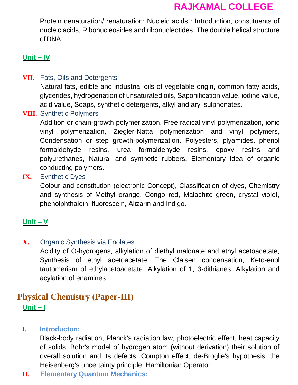Protein denaturation/ renaturation; Nucleic acids : Introduction, constituents of nucleic acids, Ribonucleosides and ribonucleotides, The double helical structure ofDNA.

#### **Unit – IV**

#### **VII.** Fats, Oils and Detergents

Natural fats, edible and industrial oils of vegetable origin, common fatty acids, glycerides, hydrogenation of unsaturated oils, Saponification value, iodine value, acid value, Soaps, synthetic detergents, alkyl and aryl sulphonates.

#### **VIII.** Synthetic Polymers

Addition or chain-growth polymerization, Free radical vinyl polymerization, ionic vinyl polymerization, Ziegler-Natta polymerization and vinyl polymers, Condensation or step growth-polymerization, Polyesters, plyamides, phenol formaldehyde resins, urea formaldehyde resins, epoxy resins and polyurethanes, Natural and synthetic rubbers, Elementary idea of organic conducting polymers.

#### **IX.** Synthetic Dyes

Colour and constitution (electronic Concept), Classification of dyes, Chemistry and synthesis of Methyl orange, Congo red, Malachite green, crystal violet, phenolphthalein, fluorescein, Alizarin and Indigo.

#### **Unit – V**

#### **X.** Organic Synthesis via Enolates

Acidity of O-hydrogens, alkylation of diethyl malonate and ethyl acetoacetate, Synthesis of ethyl acetoacetate: The Claisen condensation, Keto-enol tautomerism of ethylacetoacetate. Alkylation of 1, 3-dithianes, Alkylation and acylation of enamines.

# **Physical Chemistry (Paper-III) Unit – I**

#### **I. Introducton:**

Black-body radiation, Planck's radiation law, photoelectric effect, heat capacity of solids, Bohr's model of hydrogen atom (without derivation) their solution of overall solution and its defects, Compton effect, de-Broglie's hypothesis, the Heisenberg's uncertainty principle, Hamiltonian Operator.

#### **II. Elementary Quantum Mechanics:**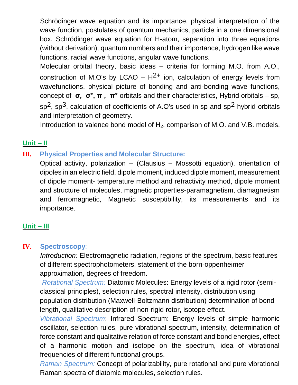Schrödinger wave equation and its importance, physical interpretation of the wave function, postulates of quantum mechanics, particle in a one dimensional box. Schrödinger wave equation for H-atom, separation into three equations (without derivation), quantum numbers and their importance, hydrogen like wave functions, radial wave functions, angular wave functions.

Molecular orbital theory, basic ideas – criteria for forming M.O. from A.O., construction of M.O's by LCAO –  $H^{2+}$  ion, calculation of energy levels from wavefunctions, physical picture of bonding and anti-bonding wave functions, concept of **σ, σ\*, π , π\*** orbitals and their characteristics, Hybrid orbitals – sp,  $sp<sup>2</sup>$ , sp<sup>3</sup>, calculation of coefficients of A.O's used in sp and sp<sup>2</sup> hybrid orbitals and interpretation of geometry.

Introduction to valence bond model of  $H_2$ , comparison of M.O. and V.B. models.

# **Unit – II**

# **III. Physical Properties and Molecular Structure:**

Optical activity, polarization – (Clausius – Mossotti equation), orientation of dipoles in an electric field, dipole moment, induced dipole moment, measurement of dipole moment- temperature method and refractivity method, dipole moment and structure of molecules, magnetic properties-paramagnetism, diamagnetism and ferromagnetic, Magnetic susceptibility, its measurements and its importance.

# **Unit – III**

## **IV. Spectroscopy**:

*Introduction:* Electromagnetic radiation, regions of the spectrum, basic features of different spectrophotometers, statement of the born-oppenheimer approximation, degrees of freedom.

*Rotational Spectrum:* Diatomic Molecules: Energy levels of a rigid rotor (semiclassical principles), selection rules, spectral intensity, distribution using population distribution (Maxwell-Boltzmann distribution) determination of bond length, qualitative description of non-rigid rotor, isotope effect.

*Vibrational Spectrum*: Infrared Spectrum: Energy levels of simple harmonic oscillator, selection rules, pure vibrational spectrum, intensity, determination of force constant and qualitative relation of force constant and bond energies, effect of a harmonic motion and isotope on the spectrum, idea of vibrational frequencies of different functional groups.

*Raman Spectrum:* Concept of polarizability, pure rotational and pure vibrational Raman spectra of diatomic molecules, selection rules.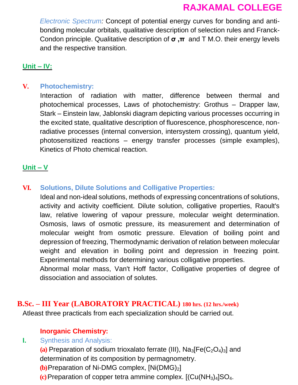*Electronic Spectrum:* Concept of potential energy curves for bonding and antibonding molecular orbitals, qualitative description of selection rules and Franck-Condon principle. Qualitative description of **σ ,π** and T M.O. their energy levels and the respective transition.

## **Unit – IV:**

## **V. Photochemistry:**

Interaction of radiation with matter, difference between thermal and photochemical processes, Laws of photochemistry: Grothus – Drapper law, Stark – Einstein law, Jablonski diagram depicting various processes occurring in the excited state, qualitative description of fluorescence, phosphorescence, nonradiative processes (internal conversion, intersystem crossing), quantum yield, photosensitized reactions – energy transfer processes (simple examples), Kinetics of Photo chemical reaction.

### **Unit – V**

## **VI. Solutions, Dilute Solutions and Colligative Properties:**

Ideal and non-ideal solutions, methods of expressing concentrations of solutions, activity and activity coefficient. Dilute solution, colligative properties, Raoult's law, relative lowering of vapour pressure, molecular weight determination. Osmosis, laws of osmotic pressure, its measurement and determination of molecular weight from osmotic pressure. Elevation of boiling point and depression of freezing, Thermodynamic derivation of relation between molecular weight and elevation in boiling point and depression in freezing point. Experimental methods for determining various colligative properties.

Abnormal molar mass, Van't Hoff factor, Colligative properties of degree of dissociation and association of solutes.

### **B.Sc. – III Year (LABORATORY PRACTICAL) 180 hrs. (12 hrs./week)**

Atleast three practicals from each specialization should be carried out.

## **Inorganic Chemistry:**

## **I.** Synthesis and Analysis:

 $(a)$  Preparation of sodium trioxalato ferrate (III),  $Na<sub>3</sub>[Fe(C<sub>2</sub>O<sub>4</sub>)<sub>3</sub>]$  and determination of its composition by permagnometry.

**(b)** Preparation of Ni-DMG complex,  $[Ni(DMG)_2]$ 

**(c)**Preparation of copper tetra ammine complex. [(Cu(NH3)4]SO4.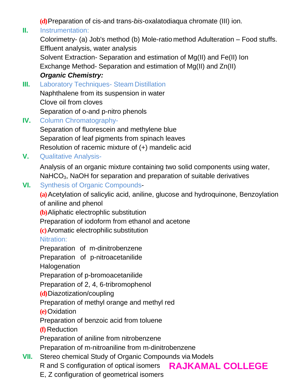**(d)**Preparation of cis-and trans-*bis*-oxalatodiaqua chromate (III) ion.

# **II.** Instrumentation:

Colorimetry- (a) Job's method (b) Mole-ratio method Adulteration – Food stuffs. Effluent analysis, water analysis Solvent Extraction- Separation and estimation of Mg(II) and Fe(II) Ion Exchange Method- Separation and estimation of Mg(II) and Zn(II) *Organic Chemistry:*

**III.** Laboratory Techniques- Steam Distillation Naphthalene from its suspension in water Clove oil from cloves Separation of o-and p-nitro phenols

**IV.** Column Chromatography-

Separation of fluorescein and methylene blue Separation of leaf pigments from spinach leaves Resolution of racemic mixture of (+) mandelic acid

**V.** Qualitative Analysis-

Analysis of an organic mixture containing two solid components using water, NaHCO<sub>3</sub>, NaOH for separation and preparation of suitable derivatives

# **VI.** Synthesis of Organic Compounds-

**(a)**Acetylation of salicylic acid, aniline, glucose and hydroquinone, Benzoylation of aniline and phenol

**(b)**Aliphatic electrophlic substitution

Preparation of iodoform from ethanol and acetone

**(c)**Aromatic electrophilic substitution

# Nitration:

Preparation of m-dinitrobenzene

Preparation of p-nitroacetanilide

**Halogenation** 

Preparation of p-bromoacetanilide

Preparation of 2, 4, 6-tribromophenol

**(d)**Diazotization/coupling

Preparation of methyl orange and methyl red

**(e)**Oxidation

Preparation of benzoic acid from toluene

**(f)** Reduction

Preparation of aniline from nitrobenzene

Preparation of m-nitroaniline from m-dinitrobenzene

- **VII.** Stereo chemical Study of Organic Compounds via Models
	- R and S configuration of optical isomers
- **RAJKAMAL COLLEGE**
- E, Z configuration of geometrical isomers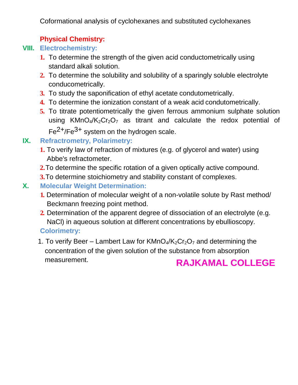Coformational analysis of cyclohexanes and substituted cyclohexanes

# **Physical Chemistry:**

# **VIII. Electrochemistry:**

- **1.** To determine the strength of the given acid conductometrically using standard alkali solution.
- **2.** To determine the solubility and solubility of a sparingly soluble electrolyte conducometrically.
- **3.** To study the saponification of ethyl acetate condutometrically.
- **4.** To determine the ionization constant of a weak acid condutometrically.
- **5.** To titrate potentiometrically the given ferrous ammonium sulphate solution using  $KMnO<sub>4</sub>/K<sub>2</sub>Cr<sub>2</sub>O<sub>7</sub>$  as titrant and calculate the redox potential of Fe<sup>2+</sup>/Fe<sup>3+</sup> system on the hydrogen scale.

# **IX. Refractrometry, Polarimetry:**

- **1.** To verify law of refraction of mixtures (e.g. of glycerol and water) using Abbe's refractometer.
- **2.**To determine the specific rotation of a given optically active compound.
- **3.**To determine stoichiometry and stability constant of complexes.
- **X. Molecular Weight Determination:**
	- **1.** Determination of molecular weight of a non-volatile solute by Rast method/ Beckmann freezing point method.
	- **2.** Determination of the apparent degree of dissociation of an electrolyte (e.g. NaCl) in aqueous solution at different concentrations by ebullioscopy.

# **Colorimetry:**

1. To verify Beer – Lambert Law for  $KMnO<sub>4</sub>/K<sub>2</sub>Cr<sub>2</sub>O<sub>7</sub>$  and determining the concentration of the given solution of the substance from absorption measurement.

# **RAJKAMAL COLLEGE**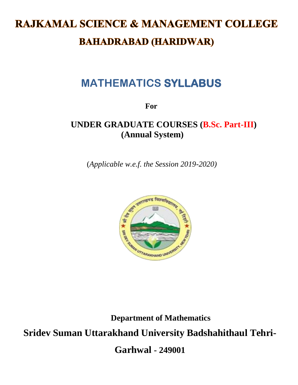# **RAJKAMAL SCIENCE & MANAGEMENT COLLEGE BAHADRABAD (HARIDWAR)**

# **MATHEMATICS SYLLABUS**

**For**

# **UNDER GRADUATE COURSES (B.Sc. Part-III) (Annual System)**

(*Applicable w.e.f. the Session 2019-2020)*



**Department of Mathematics Sridev Suman Uttarakhand University Badshahithaul Tehri-Garhwal - 249001**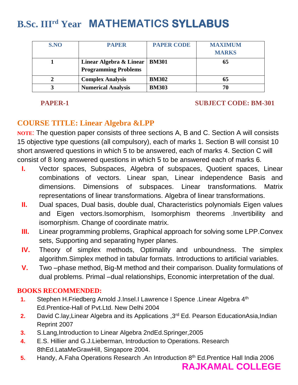# **B.Sc. IIIrd Year MATHEMATICS SYLLABUS**

| S.NO | <b>PAPER</b>                                                   | <b>PAPER CODE</b> | <b>MAXIMUM</b><br><b>MARKS</b> |
|------|----------------------------------------------------------------|-------------------|--------------------------------|
|      | Linear Algebra & Linear   BM301<br><b>Programming Problems</b> |                   | 65                             |
|      | <b>Complex Analysis</b>                                        | <b>BM302</b>      | 65                             |
|      | <b>Numerical Analysis</b>                                      | <b>BM303</b>      | 70                             |

#### **PAPER-1** SUBJECT CODE: BM-301

# **COURSE TITLE: Linear Algebra &LPP**

**NOTE**: The question paper consists of three sections A, B and C. Section A will consists 15 objective type questions (all compulsory), each of marks 1. Section B will consist 10 short answered questions in which 5 to be answered, each of marks 4. Section C will consist of 8 long answered questions in which 5 to be answered each of marks 6.

- **I.** Vector spaces, Subspaces, Algebra of subspaces, Quotient spaces, Linear combinations of vectors. Linear span, Linear independence Basis and dimensions. Dimensions of subspaces. Linear transformations. Matrix representations of linear transformations. Algebra of linear transformations.
- **II.** Dual spaces, Dual basis, double dual, Characteristics polynomials Eigen values and Eigen vectors.Isomorphism, Isomorphism theorems .Invertibility and isomorphism. Change of coordinate matrix.
- **III.** Linear programming problems, Graphical approach for solving some LPP.Convex sets, Supporting and separating hyper planes.
- **IV.** Theory of simplex methods, Optimality and unboundness. The simplex algorithm.Simplex method in tabular formats. Introductions to artificial variables.
- **V.** Two –phase method, Big-M method and their comparison. Duality formulations of dual problems. Primal –dual relationships, Economic interpretation of the dual.

## **BOOKS RECOMMENDED:**

- **1.** Stephen H.Friedberg Arnold J.Insel.I Lawrence I Spence .Linear Algebra 4th Ed.Prentice-Hall of Pvt.Ltd. New Delhi 2004
- **2.** David C.lay,Linear Algebra and its Applications ,3rd Ed. Pearson EducationAsia,Indian Reprint 2007
- **3.** S.Lang,Introduction to Linear Algebra 2ndEd.Springer,2005
- **4.** E.S. Hillier and G.J.Lieberman, Introduction to Operations. Research 8thEd.LataMeGrawHill, Singapore 2004.
- **5.** Handy, A.Faha Operations Research .An Introduction 8<sup>th</sup> Ed.Prentice Hall India 2006
	- **RAJKAMAL COLLEGE**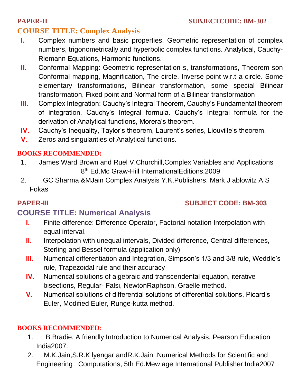# **COURSE TITLE: Complex Analysis**

- **I.** Complex numbers and basic properties, Geometric representation of complex numbers, trigonometrically and hyperbolic complex functions. Analytical, Cauchy-Riemann Equations, Harmonic functions.
- **II.** Conformal Mapping: Geometric representation s, transformations, Theorem son Conformal mapping, Magnification, The circle, Inverse point w.r.t a circle. Some elementary transformations, Bilinear transformation, some special Bilinear transformation, Fixed point and Normal form of a Bilinear transformation
- **III.** Complex Integration: Cauchy's Integral Theorem, Cauchy's Fundamental theorem of integration, Cauchy's Integral formula. Cauchy's Integral formula for the derivation of Analytical functions, Morera's theorem.
- **IV.** Cauchy's Inequality, Taylor's theorem, Laurent's series, Liouville's theorem.
- **V.** Zeros and singularities of Analytical functions.

# **BOOKS RECOMMENDED:**

- 1. James Ward Brown and Ruel V.Churchill,Complex Variables and Applications 8<sup>th</sup> Ed.Mc Graw-Hill InternationalEditions.2009
- 2. GC Sharma &MJain Complex Analysis Y.K.Publishers. Mark J ablowitz A.S Fokas

# **PAPER-III SUBJECT CODE: BM-303**

# **COURSE TITLE: Numerical Analysis**

- **I.** Finite difference: Difference Operator, Factorial notation Interpolation with equal interval.
- **II.** Interpolation with unequal intervals, Divided difference, Central differences, Sterling and Bessel formula (application only)
- **III.** Numerical differentiation and Integration, Simpson's 1/3 and 3/8 rule, Weddle's rule, Trapezoidal rule and their accuracy
- **IV.** Numerical solutions of algebraic and transcendental equation, iterative bisections, Regular- Falsi, NewtonRaphson, Graelle method.
- **V.** Numerical solutions of differential solutions of differential solutions, Picard's Euler, Modified Euler, Runge-kutta method.

## **BOOKS RECOMMENDED**:

- 1. B.Bradie, A friendly Introduction to Numerical Analysis, Pearson Education India2007.
- 2. M.K.Jain,S.R.K lyengar andR.K.Jain .Numerical Methods for Scientific and Engineering Computations, 5th Ed.Mew age International Publisher India2007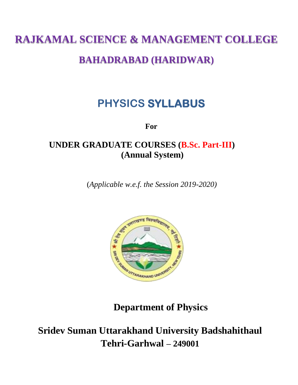# **RAJKAMAL SCIENCE & MANAGEMENT COLLEGE**

# **BAHADRABAD (HARIDWAR)**

# **PHYSICS SYLLABUS**

**For**

# **UNDER GRADUATE COURSES (B.Sc. Part-III) (Annual System)**

(*Applicable w.e.f. the Session 2019-2020)*



**Department of Physics**

**Sridev Suman Uttarakhand University Badshahithaul Tehri-Garhwal – 249001**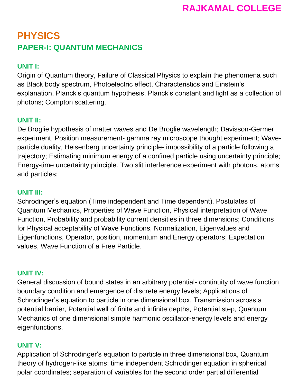# **PHYSICS PAPER-I: QUANTUM MECHANICS**

# **UNIT I:**

Origin of Quantum theory, Failure of Classical Physics to explain the phenomena such as Black body spectrum, Photoelectric effect, Characteristics and Einstein's explanation, Planck's quantum hypothesis, Planck's constant and light as a collection of photons; Compton scattering.

# **UNIT II:**

De Broglie hypothesis of matter waves and De Broglie wavelength; Davisson-Germer experiment, Position measurement- gamma ray microscope thought experiment; Waveparticle duality, Heisenberg uncertainty principle- impossibility of a particle following a trajectory; Estimating minimum energy of a confined particle using uncertainty principle; Energy-time uncertainty principle. Two slit interference experiment with photons, atoms and particles;

## **UNIT III:**

Schrodinger's equation (Time independent and Time dependent), Postulates of Quantum Mechanics, Properties of Wave Function, Physical interpretation of Wave Function, Probability and probability current densities in three dimensions; Conditions for Physical acceptability of Wave Functions, Normalization, Eigenvalues and Eigenfunctions, Operator, position, momentum and Energy operators; Expectation values, Wave Function of a Free Particle.

## **UNIT IV:**

General discussion of bound states in an arbitrary potential- continuity of wave function, boundary condition and emergence of discrete energy levels; Applications of Schrodinger's equation to particle in one dimensional box, Transmission across a potential barrier, Potential well of finite and infinite depths, Potential step, Quantum Mechanics of one dimensional simple harmonic oscillator-energy levels and energy eigenfunctions.

## **UNIT V:**

Application of Schrodinger's equation to particle in three dimensional box, Quantum theory of hydrogen-like atoms: time independent Schrodinger equation in spherical polar coordinates; separation of variables for the second order partial differential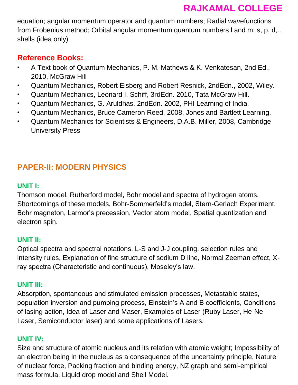equation; angular momentum operator and quantum numbers; Radial wavefunctions from Frobenius method; Orbital angular momentum quantum numbers l and m; s, p, d,.. shells (idea only)

# **Reference Books:**

- A Text book of Quantum Mechanics, P. M. Mathews & K. Venkatesan, 2nd Ed., 2010, McGraw Hill
- Quantum Mechanics, Robert Eisberg and Robert Resnick, 2ndEdn., 2002, Wiley.
- Quantum Mechanics, Leonard I. Schiff, 3rdEdn. 2010, Tata McGraw Hill.
- Quantum Mechanics, G. Aruldhas, 2ndEdn. 2002, PHI Learning of India.
- Quantum Mechanics, Bruce Cameron Reed, 2008, Jones and Bartlett Learning.
- Quantum Mechanics for Scientists & Engineers, D.A.B. Miller, 2008, Cambridge University Press

# **PAPER-II: MODERN PHYSICS**

# **UNIT I:**

Thomson model, Rutherford model, Bohr model and spectra of hydrogen atoms, Shortcomings of these models, Bohr-Sommerfeld's model, Stern-Gerlach Experiment, Bohr magneton, Larmor's precession, Vector atom model, Spatial quantization and electron spin.

# **UNIT II:**

Optical spectra and spectral notations, L-S and J-J coupling, selection rules and intensity rules, Explanation of fine structure of sodium D line, Normal Zeeman effect, Xray spectra (Characteristic and continuous), Moseley's law.

# **UNIT III:**

Absorption, spontaneous and stimulated emission processes, Metastable states, population inversion and pumping process, Einstein's A and B coefficients, Conditions of lasing action, Idea of Laser and Maser, Examples of Laser (Ruby Laser, He-Ne Laser, Semiconductor laser) and some applications of Lasers.

# **UNIT IV:**

Size and structure of atomic nucleus and its relation with atomic weight; Impossibility of an electron being in the nucleus as a consequence of the uncertainty principle, Nature of nuclear force, Packing fraction and binding energy, NZ graph and semi-empirical mass formula, Liquid drop model and Shell Model.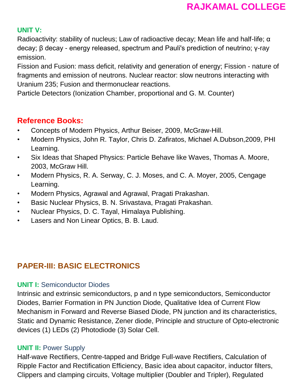# **UNIT V:**

Radioactivity: stability of nucleus; Law of radioactive decay; Mean life and half-life; α decay; β decay - energy released, spectrum and Pauli's prediction of neutrino; γ-ray emission.

Fission and Fusion: mass deficit, relativity and generation of energy; Fission - nature of fragments and emission of neutrons. Nuclear reactor: slow neutrons interacting with Uranium 235; Fusion and thermonuclear reactions.

Particle Detectors (Ionization Chamber, proportional and G. M. Counter)

# **Reference Books:**

- Concepts of Modern Physics, Arthur Beiser, 2009, McGraw-Hill.
- Modern Physics, John R. Taylor, Chris D. Zafiratos, Michael A.Dubson,2009, PHI Learning.
- Six Ideas that Shaped Physics: Particle Behave like Waves, Thomas A. Moore, 2003, McGraw Hill.
- Modern Physics, R. A. Serway, C. J. Moses, and C. A. Moyer, 2005, Cengage Learning.
- Modern Physics, Agrawal and Agrawal, Pragati Prakashan.
- Basic Nuclear Physics, B. N. Srivastava, Pragati Prakashan.
- Nuclear Physics, D. C. Tayal, Himalaya Publishing.
- Lasers and Non Linear Optics, B. B. Laud.

# **PAPER-III: BASIC ELECTRONICS**

# **UNIT I:** Semiconductor Diodes

Intrinsic and extrinsic semiconductors, p and n type semiconductors, Semiconductor Diodes, Barrier Formation in PN Junction Diode, Qualitative Idea of Current Flow Mechanism in Forward and Reverse Biased Diode, PN junction and its characteristics, Static and Dynamic Resistance, Zener diode, Principle and structure of Opto-electronic devices (1) LEDs (2) Photodiode (3) Solar Cell.

# **UNIT II:** Power Supply

Half-wave Rectifiers, Centre-tapped and Bridge Full-wave Rectifiers, Calculation of Ripple Factor and Rectification Efficiency, Basic idea about capacitor, inductor filters, Clippers and clamping circuits, Voltage multiplier (Doubler and Tripler), Regulated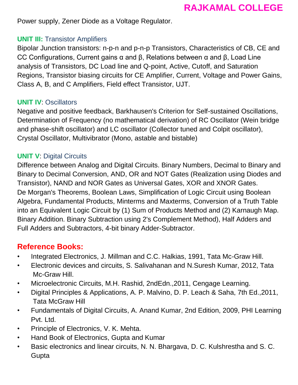Power supply, Zener Diode as a Voltage Regulator.

## **UNIT III:** Transistor Amplifiers

Bipolar Junction transistors: n-p-n and p-n-p Transistors, Characteristics of CB, CE and CC Configurations, Current gains α and β, Relations between α and β, Load Line analysis of Transistors, DC Load line and Q-point, Active, Cutoff, and Saturation Regions, Transistor biasing circuits for CE Amplifier, Current, Voltage and Power Gains, Class A, B, and C Amplifiers, Field effect Transistor, UJT.

### **UNIT IV**: Oscillators

Negative and positive feedback, Barkhausen's Criterion for Self-sustained Oscillations, Determination of Frequency (no mathematical derivation) of RC Oscillator (Wein bridge and phase-shift oscillator) and LC oscillator (Collector tuned and Colpit oscillator), Crystal Oscillator, Multivibrator (Mono, astable and bistable)

## **UNIT V**: Digital Circuits

Difference between Analog and Digital Circuits. Binary Numbers, Decimal to Binary and Binary to Decimal Conversion, AND, OR and NOT Gates (Realization using Diodes and Transistor), NAND and NOR Gates as Universal Gates, XOR and XNOR Gates. De Morgan's Theorems, Boolean Laws, Simplification of Logic Circuit using Boolean Algebra, Fundamental Products, Minterms and Maxterms, Conversion of a Truth Table into an Equivalent Logic Circuit by (1) Sum of Products Method and (2) Karnaugh Map. Binary Addition. Binary Subtraction using 2's Complement Method), Half Adders and Full Adders and Subtractors, 4-bit binary Adder-Subtractor.

# **Reference Books:**

- Integrated Electronics, J. Millman and C.C. Halkias, 1991, Tata Mc-Graw Hill.
- Electronic devices and circuits, S. Salivahanan and N.Suresh Kumar, 2012, Tata Mc-Graw Hill.
- Microelectronic Circuits, M.H. Rashid, 2ndEdn.,2011, Cengage Learning.
- Digital Principles & Applications, A. P. Malvino, D. P. Leach & Saha, 7th Ed.,2011, Tata McGraw Hill
- Fundamentals of Digital Circuits, A. Anand Kumar, 2nd Edition, 2009, PHI Learning Pvt. Ltd.
- Principle of Electronics, V. K. Mehta.
- Hand Book of Electronics, Gupta and Kumar
- Basic electronics and linear circuits, N. N. Bhargava, D. C. Kulshrestha and S. C. Gupta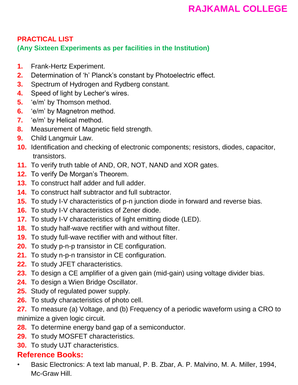# **PRACTICAL LIST (Any Sixteen Experiments as per facilities in the Institution)**

- **1.** Frank-Hertz Experiment.
- **2.** Determination of 'h' Planck's constant by Photoelectric effect.
- **3.** Spectrum of Hydrogen and Rydberg constant.
- **4.** Speed of light by Lecher's wires.
- **5.** 'e/m' by Thomson method.
- **6.** 'e/m' by Magnetron method.
- **7.** 'e/m' by Helical method.
- **8.** Measurement of Magnetic field strength.
- **9.** Child Langmuir Law.
- **10.** Identification and checking of electronic components; resistors, diodes, capacitor, transistors.
- **11.** To verify truth table of AND, OR, NOT, NAND and XOR gates.
- **12.** To verify De Morgan's Theorem.
- **13.** To construct half adder and full adder.
- **14.** To construct half subtractor and full subtractor.
- **15.** To study I-V characteristics of p-n junction diode in forward and reverse bias.
- **16.** To study I-V characteristics of Zener diode.
- **17.** To study I-V characteristics of light emitting diode (LED).
- **18.** To study half-wave rectifier with and without filter.
- **19.** To study full-wave rectifier with and without filter.
- **20.** To study p-n-p transistor in CE configuration.
- **21.** To study n-p-n transistor in CE configuration.
- **22.** To study JFET characteristics.
- **23.** To design a CE amplifier of a given gain (mid-gain) using voltage divider bias.
- **24.** To design a Wien Bridge Oscillator.
- **25.** Study of regulated power supply.
- **26.** To study characteristics of photo cell.
- **27.** To measure (a) Voltage, and (b) Frequency of a periodic waveform using a CRO to minimize a given logic circuit.
- **28.** To determine energy band gap of a semiconductor.
- **29.** To study MOSFET characteristics.
- **30.** To study UJT characteristics.

# **Reference Books:**

• Basic Electronics: A text lab manual, P. B. Zbar, A. P. Malvino, M. A. Miller, 1994, Mc-Graw Hill.